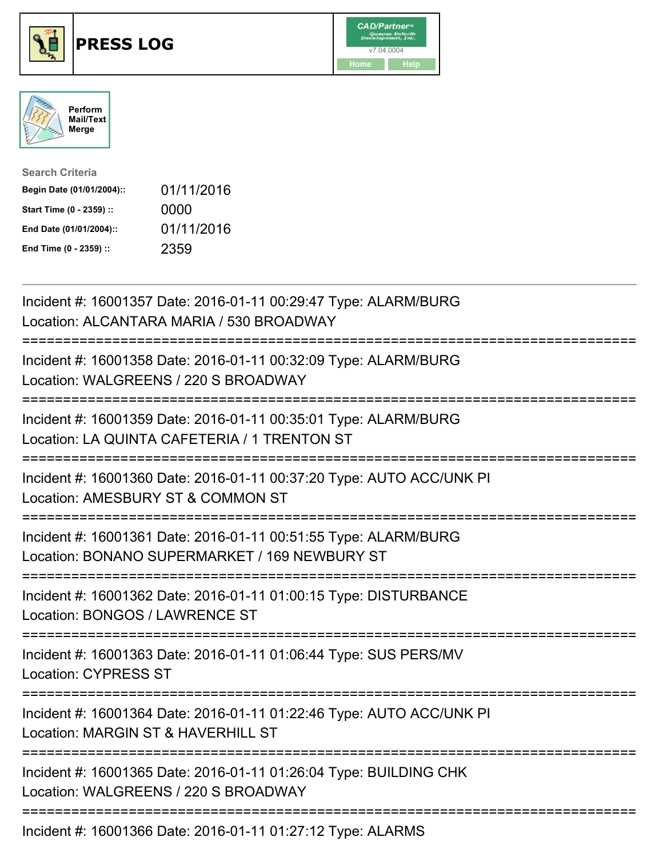





| <b>Search Criteria</b>    |            |
|---------------------------|------------|
| Begin Date (01/01/2004):: | 01/11/2016 |
| Start Time (0 - 2359) ::  | 0000       |
| End Date (01/01/2004)::   | 01/11/2016 |
| End Time (0 - 2359) ::    | 2359       |

| Incident #: 16001357 Date: 2016-01-11 00:29:47 Type: ALARM/BURG<br>Location: ALCANTARA MARIA / 530 BROADWAY                              |
|------------------------------------------------------------------------------------------------------------------------------------------|
| Incident #: 16001358 Date: 2016-01-11 00:32:09 Type: ALARM/BURG<br>Location: WALGREENS / 220 S BROADWAY                                  |
| Incident #: 16001359 Date: 2016-01-11 00:35:01 Type: ALARM/BURG<br>Location: LA QUINTA CAFETERIA / 1 TRENTON ST                          |
| Incident #: 16001360 Date: 2016-01-11 00:37:20 Type: AUTO ACC/UNK PI<br>Location: AMESBURY ST & COMMON ST                                |
| Incident #: 16001361 Date: 2016-01-11 00:51:55 Type: ALARM/BURG<br>Location: BONANO SUPERMARKET / 169 NEWBURY ST                         |
| Incident #: 16001362 Date: 2016-01-11 01:00:15 Type: DISTURBANCE<br>Location: BONGOS / LAWRENCE ST<br>======================             |
| Incident #: 16001363 Date: 2016-01-11 01:06:44 Type: SUS PERS/MV<br><b>Location: CYPRESS ST</b><br>:==================================== |
| Incident #: 16001364 Date: 2016-01-11 01:22:46 Type: AUTO ACC/UNK PI<br>Location: MARGIN ST & HAVERHILL ST                               |
| Incident #: 16001365 Date: 2016-01-11 01:26:04 Type: BUILDING CHK<br>Location: WALGREENS / 220 S BROADWAY                                |
| Incident #: 16001366 Date: 2016-01-11 01:27:12 Type: ALARMS                                                                              |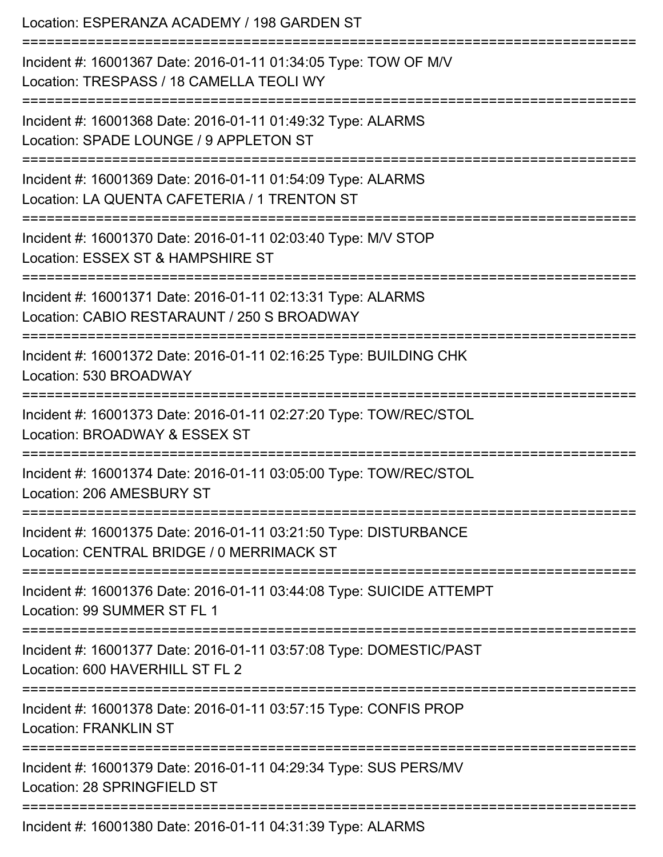Location: ESPERANZA ACADEMY / 198 GARDEN ST =========================================================================== Incident #: 16001367 Date: 2016-01-11 01:34:05 Type: TOW OF M/V Location: TRESPASS / 18 CAMELLA TEOLI WY =========================================================================== Incident #: 16001368 Date: 2016-01-11 01:49:32 Type: ALARMS Location: SPADE LOUNGE / 9 APPLETON ST =========================================================================== Incident #: 16001369 Date: 2016-01-11 01:54:09 Type: ALARMS Location: LA QUENTA CAFETERIA / 1 TRENTON ST =========================================================================== Incident #: 16001370 Date: 2016-01-11 02:03:40 Type: M/V STOP Location: ESSEX ST & HAMPSHIRE ST =========================================================================== Incident #: 16001371 Date: 2016-01-11 02:13:31 Type: ALARMS Location: CABIO RESTARAUNT / 250 S BROADWAY =========================================================================== Incident #: 16001372 Date: 2016-01-11 02:16:25 Type: BUILDING CHK Location: 530 BROADWAY =========================================================================== Incident #: 16001373 Date: 2016-01-11 02:27:20 Type: TOW/REC/STOL Location: BROADWAY & ESSEX ST =========================================================================== Incident #: 16001374 Date: 2016-01-11 03:05:00 Type: TOW/REC/STOL Location: 206 AMESBURY ST =========================================================================== Incident #: 16001375 Date: 2016-01-11 03:21:50 Type: DISTURBANCE Location: CENTRAL BRIDGE / 0 MERRIMACK ST =========================================================================== Incident #: 16001376 Date: 2016-01-11 03:44:08 Type: SUICIDE ATTEMPT Location: 99 SUMMER ST FL 1 =========================================================================== Incident #: 16001377 Date: 2016-01-11 03:57:08 Type: DOMESTIC/PAST Location: 600 HAVERHILL ST FL 2 =========================================================================== Incident #: 16001378 Date: 2016-01-11 03:57:15 Type: CONFIS PROP Location: FRANKLIN ST =========================================================================== Incident #: 16001379 Date: 2016-01-11 04:29:34 Type: SUS PERS/MV Location: 28 SPRINGFIFLD ST =========================================================================== Incident #: 16001380 Date: 2016-01-11 04:31:39 Type: ALARMS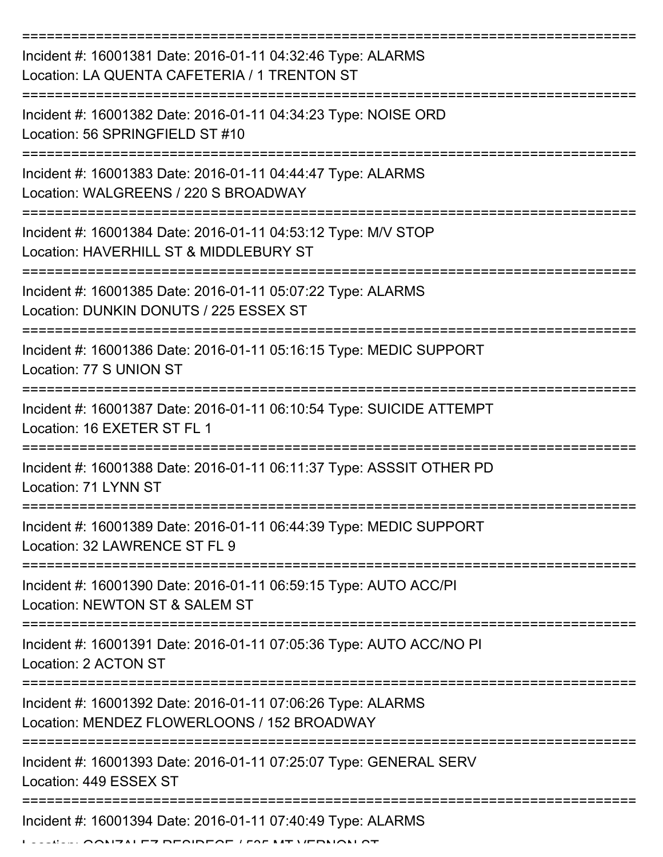| Incident #: 16001381 Date: 2016-01-11 04:32:46 Type: ALARMS<br>Location: LA QUENTA CAFETERIA / 1 TRENTON ST |
|-------------------------------------------------------------------------------------------------------------|
| Incident #: 16001382 Date: 2016-01-11 04:34:23 Type: NOISE ORD<br>Location: 56 SPRINGFIELD ST #10           |
| Incident #: 16001383 Date: 2016-01-11 04:44:47 Type: ALARMS<br>Location: WALGREENS / 220 S BROADWAY         |
| Incident #: 16001384 Date: 2016-01-11 04:53:12 Type: M/V STOP<br>Location: HAVERHILL ST & MIDDLEBURY ST     |
| Incident #: 16001385 Date: 2016-01-11 05:07:22 Type: ALARMS<br>Location: DUNKIN DONUTS / 225 ESSEX ST       |
| Incident #: 16001386 Date: 2016-01-11 05:16:15 Type: MEDIC SUPPORT<br>Location: 77 S UNION ST               |
| Incident #: 16001387 Date: 2016-01-11 06:10:54 Type: SUICIDE ATTEMPT<br>Location: 16 EXETER ST FL 1         |
| Incident #: 16001388 Date: 2016-01-11 06:11:37 Type: ASSSIT OTHER PD<br>Location: 71 LYNN ST                |
| Incident #: 16001389 Date: 2016-01-11 06:44:39 Type: MEDIC SUPPORT<br>Location: 32 LAWRENCE ST FL 9         |
| Incident #: 16001390 Date: 2016-01-11 06:59:15 Type: AUTO ACC/PI<br>Location: NEWTON ST & SALEM ST          |
| Incident #: 16001391 Date: 2016-01-11 07:05:36 Type: AUTO ACC/NO PI<br>Location: 2 ACTON ST                 |
| Incident #: 16001392 Date: 2016-01-11 07:06:26 Type: ALARMS<br>Location: MENDEZ FLOWERLOONS / 152 BROADWAY  |
| Incident #: 16001393 Date: 2016-01-11 07:25:07 Type: GENERAL SERV<br>Location: 449 ESSEX ST                 |
| Incident #: 16001394 Date: 2016-01-11 07:40:49 Type: ALARMS                                                 |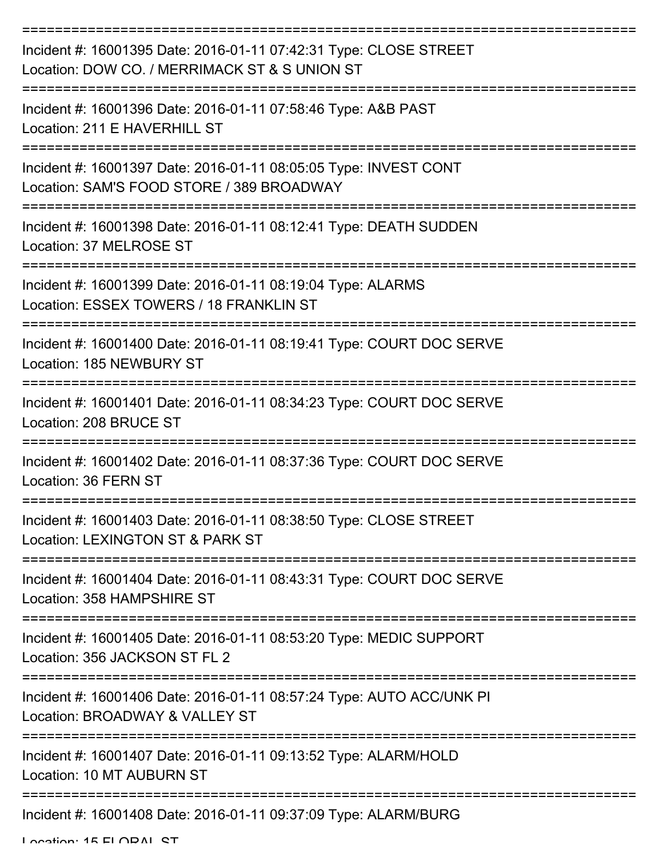| Incident #: 16001395 Date: 2016-01-11 07:42:31 Type: CLOSE STREET<br>Location: DOW CO. / MERRIMACK ST & S UNION ST |
|--------------------------------------------------------------------------------------------------------------------|
| Incident #: 16001396 Date: 2016-01-11 07:58:46 Type: A&B PAST<br>Location: 211 E HAVERHILL ST                      |
| Incident #: 16001397 Date: 2016-01-11 08:05:05 Type: INVEST CONT<br>Location: SAM'S FOOD STORE / 389 BROADWAY      |
| Incident #: 16001398 Date: 2016-01-11 08:12:41 Type: DEATH SUDDEN<br>Location: 37 MELROSE ST                       |
| Incident #: 16001399 Date: 2016-01-11 08:19:04 Type: ALARMS<br>Location: ESSEX TOWERS / 18 FRANKLIN ST             |
| Incident #: 16001400 Date: 2016-01-11 08:19:41 Type: COURT DOC SERVE<br>Location: 185 NEWBURY ST                   |
| Incident #: 16001401 Date: 2016-01-11 08:34:23 Type: COURT DOC SERVE<br>Location: 208 BRUCE ST                     |
| Incident #: 16001402 Date: 2016-01-11 08:37:36 Type: COURT DOC SERVE<br>Location: 36 FERN ST                       |
| Incident #: 16001403 Date: 2016-01-11 08:38:50 Type: CLOSE STREET<br>Location: LEXINGTON ST & PARK ST              |
| Incident #: 16001404 Date: 2016-01-11 08:43:31 Type: COURT DOC SERVE<br>Location: 358 HAMPSHIRE ST                 |
| Incident #: 16001405 Date: 2016-01-11 08:53:20 Type: MEDIC SUPPORT<br>Location: 356 JACKSON ST FL 2                |
| Incident #: 16001406 Date: 2016-01-11 08:57:24 Type: AUTO ACC/UNK PI<br>Location: BROADWAY & VALLEY ST             |
| Incident #: 16001407 Date: 2016-01-11 09:13:52 Type: ALARM/HOLD<br>Location: 10 MT AUBURN ST                       |
| Incident #: 16001408 Date: 2016-01-11 09:37:09 Type: ALARM/BURG                                                    |

Location: 15 ELODAL CT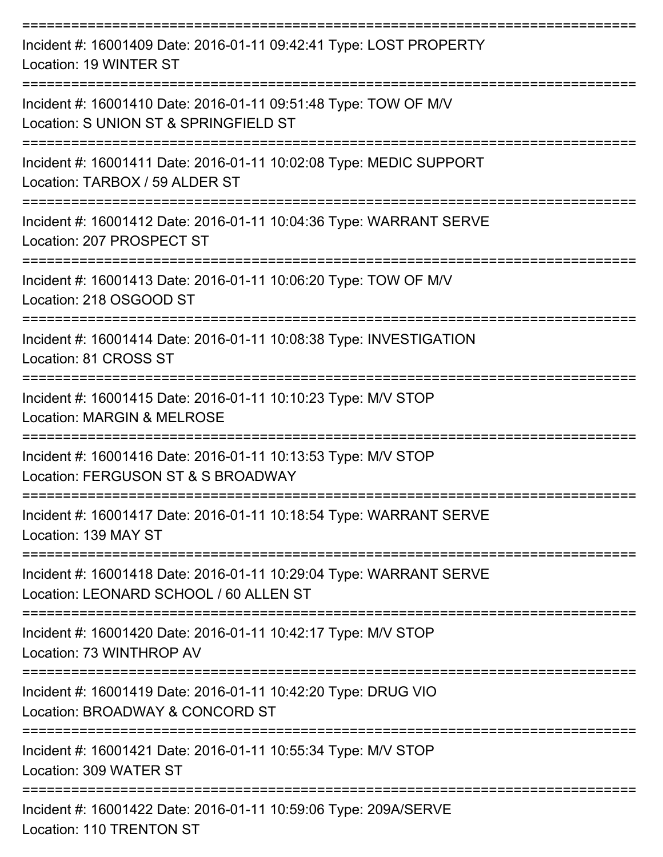| Incident #: 16001409 Date: 2016-01-11 09:42:41 Type: LOST PROPERTY<br>Location: 19 WINTER ST                                       |
|------------------------------------------------------------------------------------------------------------------------------------|
| Incident #: 16001410 Date: 2016-01-11 09:51:48 Type: TOW OF M/V<br>Location: S UNION ST & SPRINGFIELD ST                           |
| Incident #: 16001411 Date: 2016-01-11 10:02:08 Type: MEDIC SUPPORT<br>Location: TARBOX / 59 ALDER ST                               |
| Incident #: 16001412 Date: 2016-01-11 10:04:36 Type: WARRANT SERVE<br>Location: 207 PROSPECT ST                                    |
| Incident #: 16001413 Date: 2016-01-11 10:06:20 Type: TOW OF M/V<br>Location: 218 OSGOOD ST                                         |
| Incident #: 16001414 Date: 2016-01-11 10:08:38 Type: INVESTIGATION<br>Location: 81 CROSS ST                                        |
| Incident #: 16001415 Date: 2016-01-11 10:10:23 Type: M/V STOP<br><b>Location: MARGIN &amp; MELROSE</b>                             |
| Incident #: 16001416 Date: 2016-01-11 10:13:53 Type: M/V STOP<br>Location: FERGUSON ST & S BROADWAY                                |
| Incident #: 16001417 Date: 2016-01-11 10:18:54 Type: WARRANT SERVE<br>Location: 139 MAY ST                                         |
| ------------------<br>Incident #: 16001418 Date: 2016-01-11 10:29:04 Type: WARRANT SERVE<br>Location: LEONARD SCHOOL / 60 ALLEN ST |
| Incident #: 16001420 Date: 2016-01-11 10:42:17 Type: M/V STOP<br>Location: 73 WINTHROP AV                                          |
| Incident #: 16001419 Date: 2016-01-11 10:42:20 Type: DRUG VIO<br>Location: BROADWAY & CONCORD ST                                   |
| Incident #: 16001421 Date: 2016-01-11 10:55:34 Type: M/V STOP<br>Location: 309 WATER ST                                            |
| Incident #: 16001422 Date: 2016-01-11 10:59:06 Type: 209A/SERVE<br>Location: 110 TRENTON ST                                        |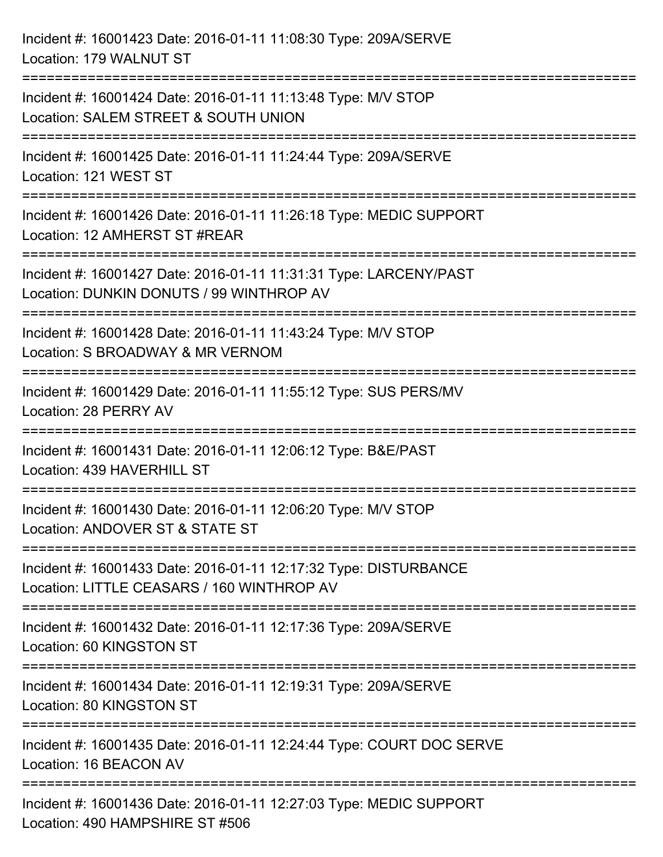| Incident #: 16001423 Date: 2016-01-11 11:08:30 Type: 209A/SERVE<br>Location: 179 WALNUT ST                                                                                     |
|--------------------------------------------------------------------------------------------------------------------------------------------------------------------------------|
| Incident #: 16001424 Date: 2016-01-11 11:13:48 Type: M/V STOP<br>Location: SALEM STREET & SOUTH UNION                                                                          |
| Incident #: 16001425 Date: 2016-01-11 11:24:44 Type: 209A/SERVE<br>Location: 121 WEST ST                                                                                       |
| Incident #: 16001426 Date: 2016-01-11 11:26:18 Type: MEDIC SUPPORT<br>Location: 12 AMHERST ST #REAR                                                                            |
| Incident #: 16001427 Date: 2016-01-11 11:31:31 Type: LARCENY/PAST<br>Location: DUNKIN DONUTS / 99 WINTHROP AV<br>=====================================<br>==================== |
| Incident #: 16001428 Date: 2016-01-11 11:43:24 Type: M/V STOP<br>Location: S BROADWAY & MR VERNOM                                                                              |
| Incident #: 16001429 Date: 2016-01-11 11:55:12 Type: SUS PERS/MV<br>Location: 28 PERRY AV                                                                                      |
| =========================<br>Incident #: 16001431 Date: 2016-01-11 12:06:12 Type: B&E/PAST<br>Location: 439 HAVERHILL ST                                                       |
| Incident #: 16001430 Date: 2016-01-11 12:06:20 Type: M/V STOP<br>Location: ANDOVER ST & STATE ST                                                                               |
| Incident #: 16001433 Date: 2016-01-11 12:17:32 Type: DISTURBANCE<br>Location: LITTLE CEASARS / 160 WINTHROP AV                                                                 |
| Incident #: 16001432 Date: 2016-01-11 12:17:36 Type: 209A/SERVE<br>Location: 60 KINGSTON ST                                                                                    |
| Incident #: 16001434 Date: 2016-01-11 12:19:31 Type: 209A/SERVE<br>Location: 80 KINGSTON ST                                                                                    |
| Incident #: 16001435 Date: 2016-01-11 12:24:44 Type: COURT DOC SERVE<br>Location: 16 BEACON AV                                                                                 |
| Incident #: 16001436 Date: 2016-01-11 12:27:03 Type: MEDIC SUPPORT<br>Location: 490 HAMPSHIRE ST #506                                                                          |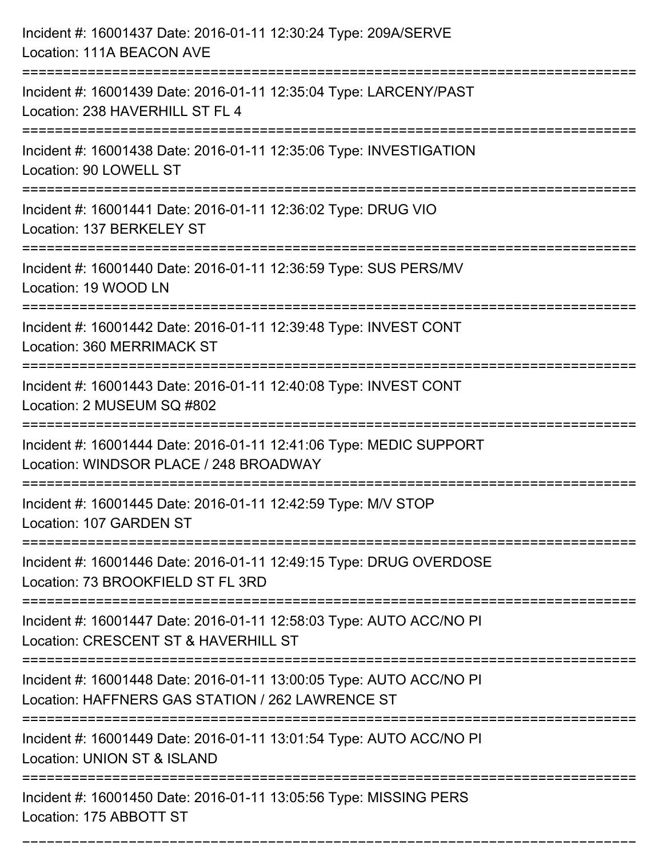| Incident #: 16001437 Date: 2016-01-11 12:30:24 Type: 209A/SERVE<br>Location: 111A BEACON AVE                                                                  |
|---------------------------------------------------------------------------------------------------------------------------------------------------------------|
| Incident #: 16001439 Date: 2016-01-11 12:35:04 Type: LARCENY/PAST<br>Location: 238 HAVERHILL ST FL 4                                                          |
| Incident #: 16001438 Date: 2016-01-11 12:35:06 Type: INVESTIGATION<br>Location: 90 LOWELL ST<br>;===================================<br>===================== |
| Incident #: 16001441 Date: 2016-01-11 12:36:02 Type: DRUG VIO<br>Location: 137 BERKELEY ST                                                                    |
| Incident #: 16001440 Date: 2016-01-11 12:36:59 Type: SUS PERS/MV<br>Location: 19 WOOD LN                                                                      |
| Incident #: 16001442 Date: 2016-01-11 12:39:48 Type: INVEST CONT<br>Location: 360 MERRIMACK ST                                                                |
| Incident #: 16001443 Date: 2016-01-11 12:40:08 Type: INVEST CONT<br>Location: 2 MUSEUM SQ #802                                                                |
| Incident #: 16001444 Date: 2016-01-11 12:41:06 Type: MEDIC SUPPORT<br>Location: WINDSOR PLACE / 248 BROADWAY                                                  |
| Incident #: 16001445 Date: 2016-01-11 12:42:59 Type: M/V STOP<br>Location: 107 GARDEN ST                                                                      |
| Incident #: 16001446 Date: 2016-01-11 12:49:15 Type: DRUG OVERDOSE<br>Location: 73 BROOKFIELD ST FL 3RD                                                       |
| Incident #: 16001447 Date: 2016-01-11 12:58:03 Type: AUTO ACC/NO PI<br>Location: CRESCENT ST & HAVERHILL ST                                                   |
| Incident #: 16001448 Date: 2016-01-11 13:00:05 Type: AUTO ACC/NO PI<br>Location: HAFFNERS GAS STATION / 262 LAWRENCE ST                                       |
| Incident #: 16001449 Date: 2016-01-11 13:01:54 Type: AUTO ACC/NO PI<br>Location: UNION ST & ISLAND                                                            |
| Incident #: 16001450 Date: 2016-01-11 13:05:56 Type: MISSING PERS<br>Location: 175 ABBOTT ST                                                                  |

===========================================================================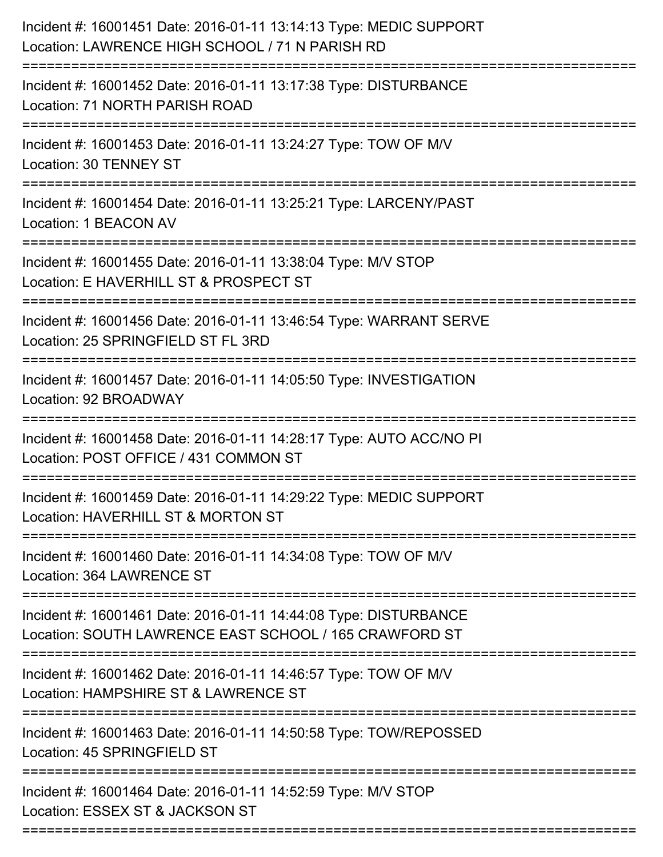| Incident #: 16001451 Date: 2016-01-11 13:14:13 Type: MEDIC SUPPORT<br>Location: LAWRENCE HIGH SCHOOL / 71 N PARISH RD      |
|----------------------------------------------------------------------------------------------------------------------------|
| Incident #: 16001452 Date: 2016-01-11 13:17:38 Type: DISTURBANCE<br>Location: 71 NORTH PARISH ROAD                         |
| Incident #: 16001453 Date: 2016-01-11 13:24:27 Type: TOW OF M/V<br>Location: 30 TENNEY ST                                  |
| Incident #: 16001454 Date: 2016-01-11 13:25:21 Type: LARCENY/PAST<br>Location: 1 BEACON AV                                 |
| Incident #: 16001455 Date: 2016-01-11 13:38:04 Type: M/V STOP<br>Location: E HAVERHILL ST & PROSPECT ST                    |
| Incident #: 16001456 Date: 2016-01-11 13:46:54 Type: WARRANT SERVE<br>Location: 25 SPRINGFIELD ST FL 3RD                   |
| Incident #: 16001457 Date: 2016-01-11 14:05:50 Type: INVESTIGATION<br>Location: 92 BROADWAY                                |
| Incident #: 16001458 Date: 2016-01-11 14:28:17 Type: AUTO ACC/NO PI<br>Location: POST OFFICE / 431 COMMON ST               |
| Incident #: 16001459 Date: 2016-01-11 14:29:22 Type: MEDIC SUPPORT<br>Location: HAVERHILL ST & MORTON ST                   |
| Incident #: 16001460 Date: 2016-01-11 14:34:08 Type: TOW OF M/V<br>Location: 364 LAWRENCE ST                               |
| Incident #: 16001461 Date: 2016-01-11 14:44:08 Type: DISTURBANCE<br>Location: SOUTH LAWRENCE EAST SCHOOL / 165 CRAWFORD ST |
| Incident #: 16001462 Date: 2016-01-11 14:46:57 Type: TOW OF M/V<br>Location: HAMPSHIRE ST & LAWRENCE ST                    |
| Incident #: 16001463 Date: 2016-01-11 14:50:58 Type: TOW/REPOSSED<br>Location: 45 SPRINGFIELD ST                           |
| Incident #: 16001464 Date: 2016-01-11 14:52:59 Type: M/V STOP<br>Location: ESSEX ST & JACKSON ST                           |
|                                                                                                                            |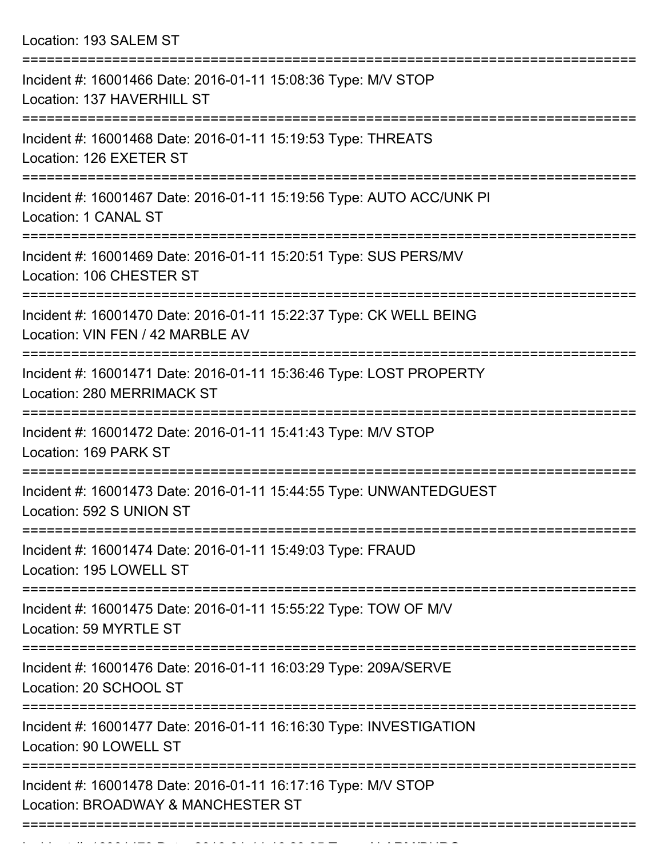Location: 193 SALEM ST

| Incident #: 16001466 Date: 2016-01-11 15:08:36 Type: M/V STOP<br>Location: 137 HAVERHILL ST                      |
|------------------------------------------------------------------------------------------------------------------|
| Incident #: 16001468 Date: 2016-01-11 15:19:53 Type: THREATS<br>Location: 126 EXETER ST                          |
| Incident #: 16001467 Date: 2016-01-11 15:19:56 Type: AUTO ACC/UNK PI<br>Location: 1 CANAL ST                     |
| Incident #: 16001469 Date: 2016-01-11 15:20:51 Type: SUS PERS/MV<br>Location: 106 CHESTER ST                     |
| Incident #: 16001470 Date: 2016-01-11 15:22:37 Type: CK WELL BEING<br>Location: VIN FEN / 42 MARBLE AV           |
| Incident #: 16001471 Date: 2016-01-11 15:36:46 Type: LOST PROPERTY<br>Location: 280 MERRIMACK ST                 |
| Incident #: 16001472 Date: 2016-01-11 15:41:43 Type: M/V STOP<br>Location: 169 PARK ST                           |
| Incident #: 16001473 Date: 2016-01-11 15:44:55 Type: UNWANTEDGUEST<br>Location: 592 S UNION ST                   |
| ---------------<br>Incident #: 16001474 Date: 2016-01-11 15:49:03 Type: FRAUD<br>Location: 195 LOWELL ST         |
| ===================<br>Incident #: 16001475 Date: 2016-01-11 15:55:22 Type: TOW OF M/V<br>Location: 59 MYRTLE ST |
| Incident #: 16001476 Date: 2016-01-11 16:03:29 Type: 209A/SERVE<br>Location: 20 SCHOOL ST                        |
| Incident #: 16001477 Date: 2016-01-11 16:16:30 Type: INVESTIGATION<br>Location: 90 LOWELL ST                     |
| Incident #: 16001478 Date: 2016-01-11 16:17:16 Type: M/V STOP<br>Location: BROADWAY & MANCHESTER ST              |
|                                                                                                                  |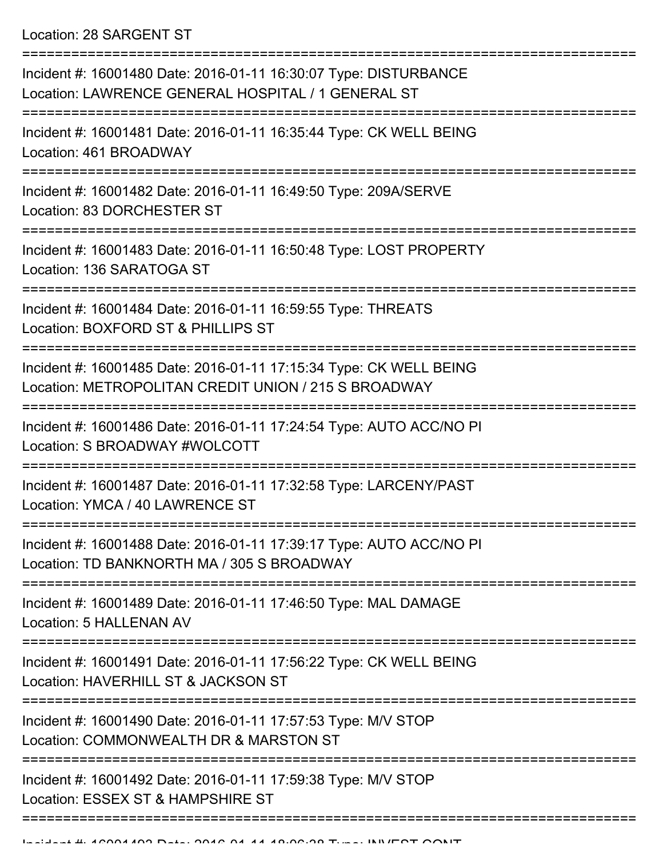Location: 28 SARGENT ST

| Incident #: 16001480 Date: 2016-01-11 16:30:07 Type: DISTURBANCE<br>Location: LAWRENCE GENERAL HOSPITAL / 1 GENERAL ST     |
|----------------------------------------------------------------------------------------------------------------------------|
| Incident #: 16001481 Date: 2016-01-11 16:35:44 Type: CK WELL BEING<br>Location: 461 BROADWAY<br>----------------           |
| Incident #: 16001482 Date: 2016-01-11 16:49:50 Type: 209A/SERVE<br>Location: 83 DORCHESTER ST                              |
| Incident #: 16001483 Date: 2016-01-11 16:50:48 Type: LOST PROPERTY<br>Location: 136 SARATOGA ST                            |
| Incident #: 16001484 Date: 2016-01-11 16:59:55 Type: THREATS<br>Location: BOXFORD ST & PHILLIPS ST                         |
| Incident #: 16001485 Date: 2016-01-11 17:15:34 Type: CK WELL BEING<br>Location: METROPOLITAN CREDIT UNION / 215 S BROADWAY |
| Incident #: 16001486 Date: 2016-01-11 17:24:54 Type: AUTO ACC/NO PI<br>Location: S BROADWAY #WOLCOTT                       |
| Incident #: 16001487 Date: 2016-01-11 17:32:58 Type: LARCENY/PAST<br>Location: YMCA / 40 LAWRENCE ST                       |
| Incident #: 16001488 Date: 2016-01-11 17:39:17 Type: AUTO ACC/NO PI<br>Location: TD BANKNORTH MA / 305 S BROADWAY          |
| Incident #: 16001489 Date: 2016-01-11 17:46:50 Type: MAL DAMAGE<br>Location: 5 HALLENAN AV                                 |
| Incident #: 16001491 Date: 2016-01-11 17:56:22 Type: CK WELL BEING<br>Location: HAVERHILL ST & JACKSON ST                  |
| Incident #: 16001490 Date: 2016-01-11 17:57:53 Type: M/V STOP<br>Location: COMMONWEALTH DR & MARSTON ST                    |
| Incident #: 16001492 Date: 2016-01-11 17:59:38 Type: M/V STOP<br>Location: ESSEX ST & HAMPSHIRE ST                         |
|                                                                                                                            |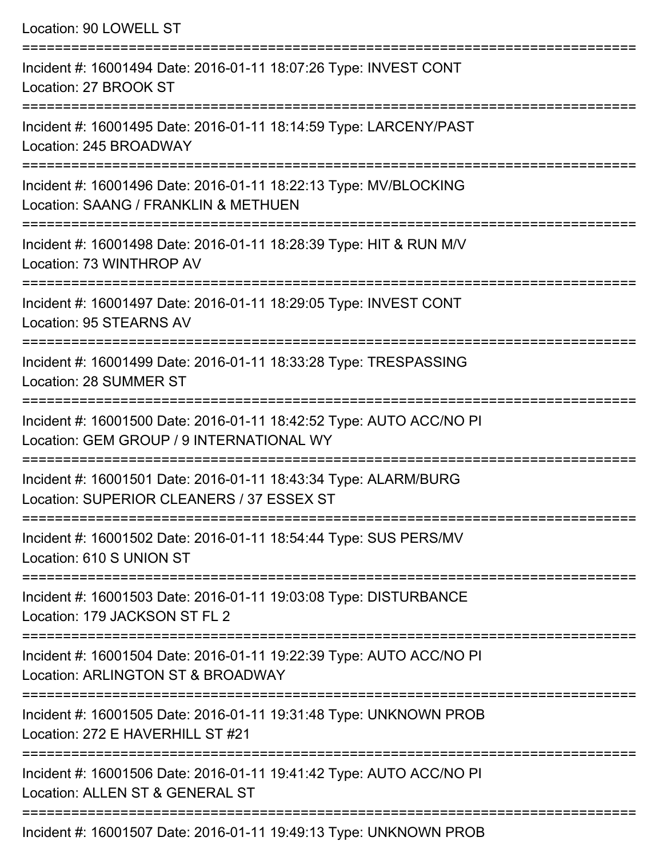Location: 90 LOWELL ST =========================================================================== Incident #: 16001494 Date: 2016-01-11 18:07:26 Type: INVEST CONT Location: 27 BROOK ST =========================================================================== Incident #: 16001495 Date: 2016-01-11 18:14:59 Type: LARCENY/PAST Location: 245 BROADWAY =========================================================================== Incident #: 16001496 Date: 2016-01-11 18:22:13 Type: MV/BLOCKING Location: SAANG / FRANKLIN & METHUEN =========================================================================== Incident #: 16001498 Date: 2016-01-11 18:28:39 Type: HIT & RUN M/V Location: 73 WINTHROP AV =========================================================================== Incident #: 16001497 Date: 2016-01-11 18:29:05 Type: INVEST CONT Location: 95 STEARNS AV =========================================================================== Incident #: 16001499 Date: 2016-01-11 18:33:28 Type: TRESPASSING Location: 28 SUMMER ST =========================================================================== Incident #: 16001500 Date: 2016-01-11 18:42:52 Type: AUTO ACC/NO PI Location: GEM GROUP / 9 INTERNATIONAL WY =========================================================================== Incident #: 16001501 Date: 2016-01-11 18:43:34 Type: ALARM/BURG Location: SUPERIOR CLEANERS / 37 ESSEX ST =========================================================================== Incident #: 16001502 Date: 2016-01-11 18:54:44 Type: SUS PERS/MV Location: 610 S UNION ST =========================================================================== Incident #: 16001503 Date: 2016-01-11 19:03:08 Type: DISTURBANCE Location: 179 JACKSON ST FL 2 =========================================================================== Incident #: 16001504 Date: 2016-01-11 19:22:39 Type: AUTO ACC/NO PI Location: ARLINGTON ST & BROADWAY =========================================================================== Incident #: 16001505 Date: 2016-01-11 19:31:48 Type: UNKNOWN PROB Location: 272 E HAVERHILL ST #21 =========================================================================== Incident #: 16001506 Date: 2016-01-11 19:41:42 Type: AUTO ACC/NO PI Location: ALLEN ST & GENERAL ST ===========================================================================

Incident #: 16001507 Date: 2016-01-11 19:49:13 Type: UNKNOWN PROB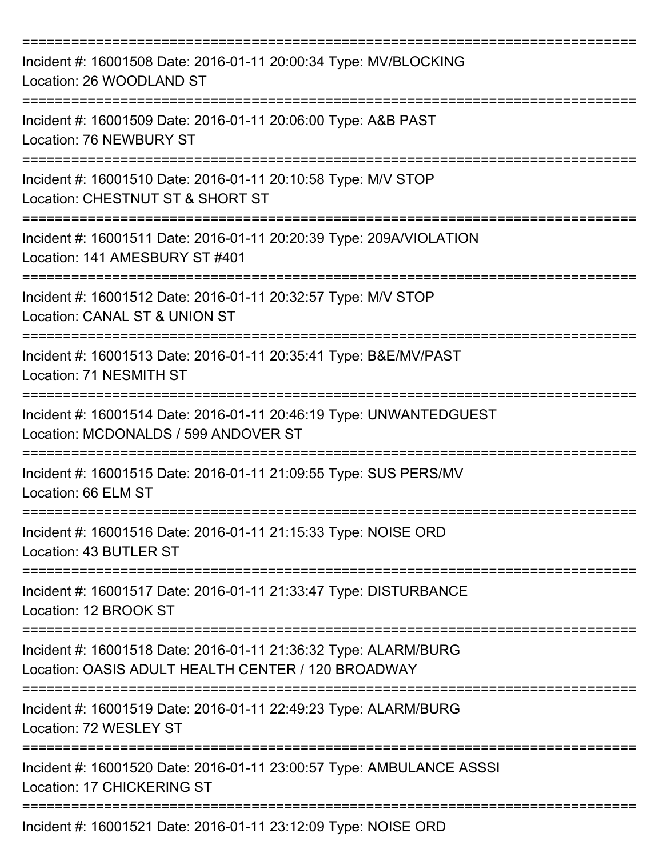| Incident #: 16001508 Date: 2016-01-11 20:00:34 Type: MV/BLOCKING<br>Location: 26 WOODLAND ST                          |
|-----------------------------------------------------------------------------------------------------------------------|
| Incident #: 16001509 Date: 2016-01-11 20:06:00 Type: A&B PAST<br>Location: 76 NEWBURY ST                              |
| Incident #: 16001510 Date: 2016-01-11 20:10:58 Type: M/V STOP<br>Location: CHESTNUT ST & SHORT ST                     |
| Incident #: 16001511 Date: 2016-01-11 20:20:39 Type: 209A/VIOLATION<br>Location: 141 AMESBURY ST #401                 |
| Incident #: 16001512 Date: 2016-01-11 20:32:57 Type: M/V STOP<br>Location: CANAL ST & UNION ST                        |
| Incident #: 16001513 Date: 2016-01-11 20:35:41 Type: B&E/MV/PAST<br>Location: 71 NESMITH ST                           |
| Incident #: 16001514 Date: 2016-01-11 20:46:19 Type: UNWANTEDGUEST<br>Location: MCDONALDS / 599 ANDOVER ST            |
| Incident #: 16001515 Date: 2016-01-11 21:09:55 Type: SUS PERS/MV<br>Location: 66 ELM ST                               |
| Incident #: 16001516 Date: 2016-01-11 21:15:33 Type: NOISE ORD<br>Location: 43 BUTLER ST                              |
| Incident #: 16001517 Date: 2016-01-11 21:33:47 Type: DISTURBANCE<br>Location: 12 BROOK ST                             |
| Incident #: 16001518 Date: 2016-01-11 21:36:32 Type: ALARM/BURG<br>Location: OASIS ADULT HEALTH CENTER / 120 BROADWAY |
| Incident #: 16001519 Date: 2016-01-11 22:49:23 Type: ALARM/BURG<br>Location: 72 WESLEY ST                             |
| Incident #: 16001520 Date: 2016-01-11 23:00:57 Type: AMBULANCE ASSSI<br>Location: 17 CHICKERING ST                    |
| =================<br>Incident #: 16001521 Date: 2016-01-11 23:12:09 Type: NOISE ORD                                   |